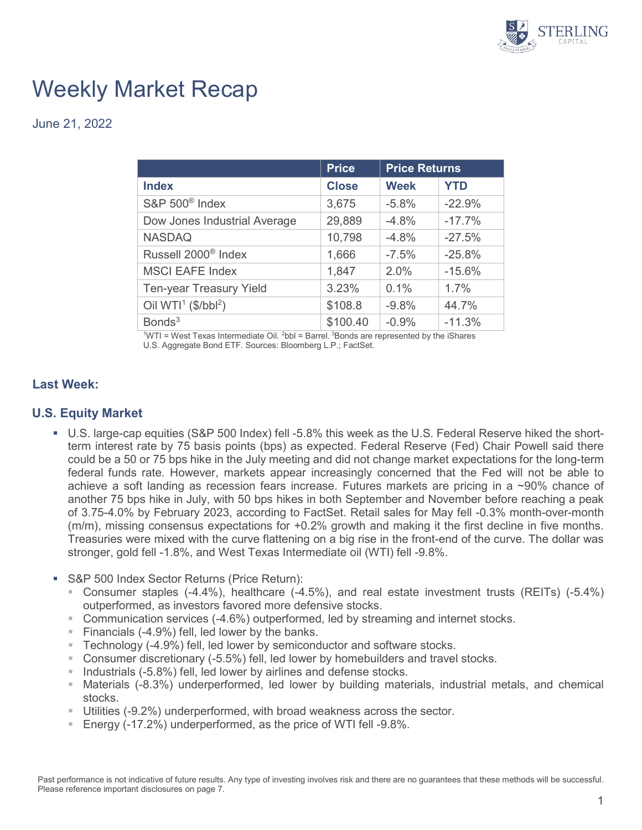

# Weekly Market Recap

June 21, 2022

|                                    | <b>Price</b> | <b>Price Returns</b> |            |
|------------------------------------|--------------|----------------------|------------|
| <b>Index</b>                       | <b>Close</b> | <b>Week</b>          | <b>YTD</b> |
| S&P 500 <sup>®</sup> Index         | 3,675        | $-5.8%$              | $-22.9%$   |
| Dow Jones Industrial Average       | 29,889       | $-4.8%$              | $-17.7%$   |
| <b>NASDAQ</b>                      | 10,798       | $-4.8%$              | $-27.5%$   |
| Russell 2000 <sup>®</sup> Index    | 1,666        | $-7.5%$              | $-25.8%$   |
| <b>MSCI EAFE Index</b>             | 1,847        | 2.0%                 | $-15.6%$   |
| <b>Ten-year Treasury Yield</b>     | 3.23%        | 0.1%                 | 1.7%       |
| Oil WTI <sup>1</sup> ( $$/bbI^2$ ) | \$108.8      | $-9.8%$              | 44.7%      |
| Bonds <sup>3</sup>                 | \$100.40     | $-0.9%$              | $-11.3%$   |

 $1WTI = West Texas Intermediate Oil. <sup>2</sup>bbI = Barrel. <sup>3</sup>Bonds are represented by the iShares.$ U.S. Aggregate Bond ETF. Sources: Bloomberg L.P.; FactSet.

### **Last Week:**

#### **U.S. Equity Market**

- U.S. large-cap equities (S&P 500 Index) fell -5.8% this week as the U.S. Federal Reserve hiked the shortterm interest rate by 75 basis points (bps) as expected. Federal Reserve (Fed) Chair Powell said there could be a 50 or 75 bps hike in the July meeting and did not change market expectations for the long-term federal funds rate. However, markets appear increasingly concerned that the Fed will not be able to achieve a soft landing as recession fears increase. Futures markets are pricing in a ~90% chance of another 75 bps hike in July, with 50 bps hikes in both September and November before reaching a peak of 3.75-4.0% by February 2023, according to FactSet. Retail sales for May fell -0.3% month-over-month (m/m), missing consensus expectations for +0.2% growth and making it the first decline in five months. Treasuries were mixed with the curve flattening on a big rise in the front-end of the curve. The dollar was stronger, gold fell -1.8%, and West Texas Intermediate oil (WTI) fell -9.8%.
- **S&P 500 Index Sector Returns (Price Return):** 
	- Consumer staples (-4.4%), healthcare (-4.5%), and real estate investment trusts (REITs) (-5.4%) outperformed, as investors favored more defensive stocks.
	- Communication services (-4.6%) outperformed, led by streaming and internet stocks.
	- Financials  $(-4.9\%)$  fell, led lower by the banks.
	- **Technology (-4.9%) fell, led lower by semiconductor and software stocks.**
	- Consumer discretionary (-5.5%) fell, led lower by homebuilders and travel stocks.
	- **Industrials (-5.8%) fell, led lower by airlines and defense stocks.**
	- Materials (-8.3%) underperformed, led lower by building materials, industrial metals, and chemical stocks.
	- Utilities (-9.2%) underperformed, with broad weakness across the sector.
	- Energy (-17.2%) underperformed, as the price of WTI fell -9.8%.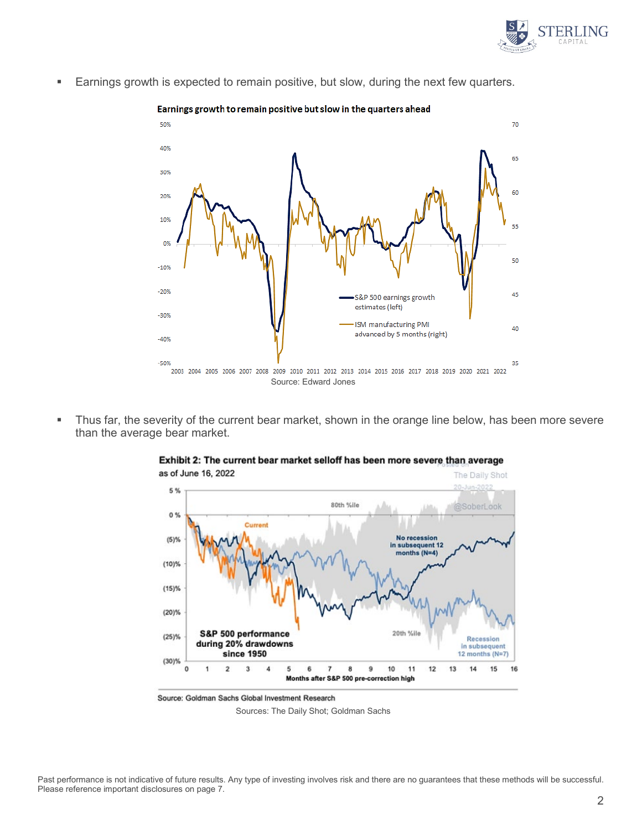

**Earnings growth is expected to remain positive, but slow, during the next few quarters.** 



• Thus far, the severity of the current bear market, shown in the orange line below, has been more severe than the average bear market.



Exhibit 2: The current bear market selloff has been more severe than average

Source: Goldman Sachs Global Investment Research

Sources: The Daily Shot; Goldman Sachs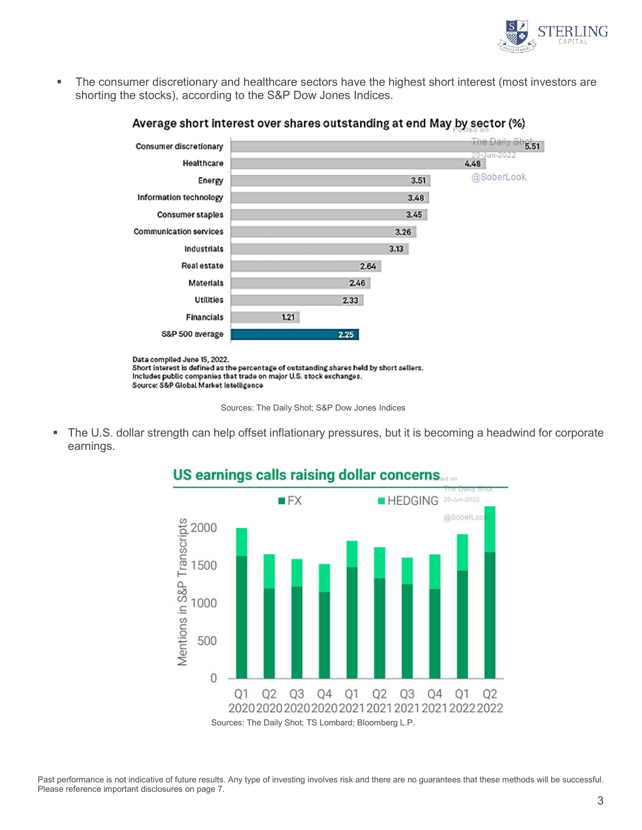

 The consumer discretionary and healthcare sectors have the highest short interest (most investors are shorting the stocks), according to the S&P Dow Jones Indices.



#### Average short interest over shares outstanding at end May by sector (%)

Source: S&P Global Market Intelligence

 The U.S. dollar strength can help offset inflationary pressures, but it is becoming a headwind for corporate earnings.



## US earnings calls raising dollar concerns.

Past performance is not indicative of future results. Any type of investing involves risk and there are no guarantees that these methods will be successful. Please reference important disclosures on page 7.

Sources: The Daily Shot; S&P Dow Jones Indices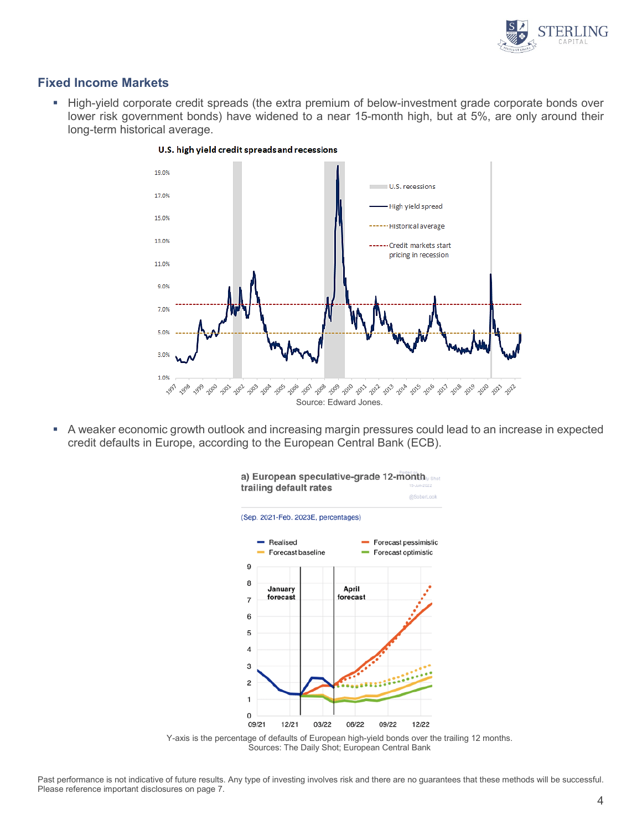

#### **Fixed Income Markets**

 High-yield corporate credit spreads (the extra premium of below-investment grade corporate bonds over lower risk government bonds) have widened to a near 15-month high, but at 5%, are only around their long-term historical average.



#### U.S. high yield credit spreads and recessions

 A weaker economic growth outlook and increasing margin pressures could lead to an increase in expected credit defaults in Europe, according to the European Central Bank (ECB).



Y-axis is the percentage of defaults of European high-yield bonds over the trailing 12 months. Sources: The Daily Shot; European Central Bank

Past performance is not indicative of future results. Any type of investing involves risk and there are no guarantees that these methods will be successful. Please reference important disclosures on page 7.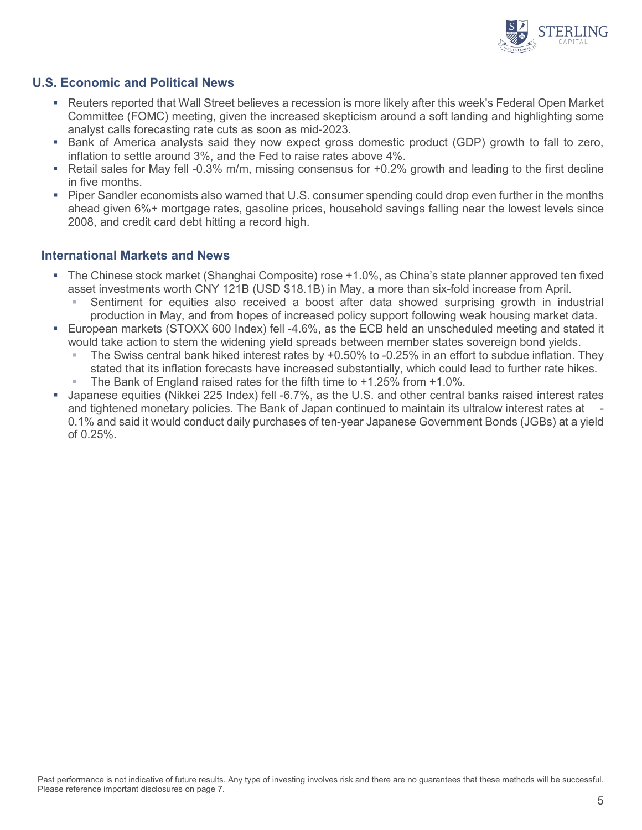

### **U.S. Economic and Political News**

- [Reuters](https://www.reuters.com/markets/europe/investors-brace-recession-more-market-turmoil-after-feds-supersized-hike-2022-06-16/) reported that Wall Street believes a recession is more likely after this week's Federal Open Market Committee (FOMC) meeting, given the increased skepticism around a soft landing and highlighting some analyst calls forecasting rate cuts as soon as mid-2023.
- **Bank of America analysts said they now expect gross domestic product (GDP) growth to fall to zero,** inflation to settle around 3%, and the Fed to raise rates above 4%.
- Retail sales for May fell -0.3% m/m, missing consensus for  $+0.2\%$  growth and leading to the first decline in five months.
- **Piper Sandler economists also warned that U.S. consumer spending could drop even further in the months** ahead given 6%+ mortgage rates, gasoline prices, household savings falling near the lowest levels since 2008, and credit card debt hitting a record high.

#### **International Markets and News**

- The Chinese stock market (Shanghai Composite) rose +1.0%, as China's state planner approved ten fixed asset investments worth CNY 121B (USD \$18.1B) in May, a more than six-fold increase from April.
	- Sentiment for equities also received a boost after data showed surprising growth in industrial production in May, and from hopes of increased policy support following weak housing market data.
- European markets (STOXX 600 Index) fell -4.6%, as the ECB held an unscheduled meeting and stated it would take action to stem the widening yield spreads between member states sovereign bond yields.
	- The Swiss central bank hiked interest rates by +0.50% to -0.25% in an effort to subdue inflation. They stated that its inflation forecasts have increased substantially, which could lead to further rate hikes.
	- The Bank of England raised rates for the fifth time to +1.25% from +1.0%.
- Japanese equities (Nikkei 225 Index) fell -6.7%, as the U.S. and other central banks raised interest rates and tightened monetary policies. The Bank of Japan continued to maintain its ultralow interest rates at - 0.1% and said it would conduct daily purchases of ten-year Japanese Government Bonds (JGBs) at a yield of 0.25%.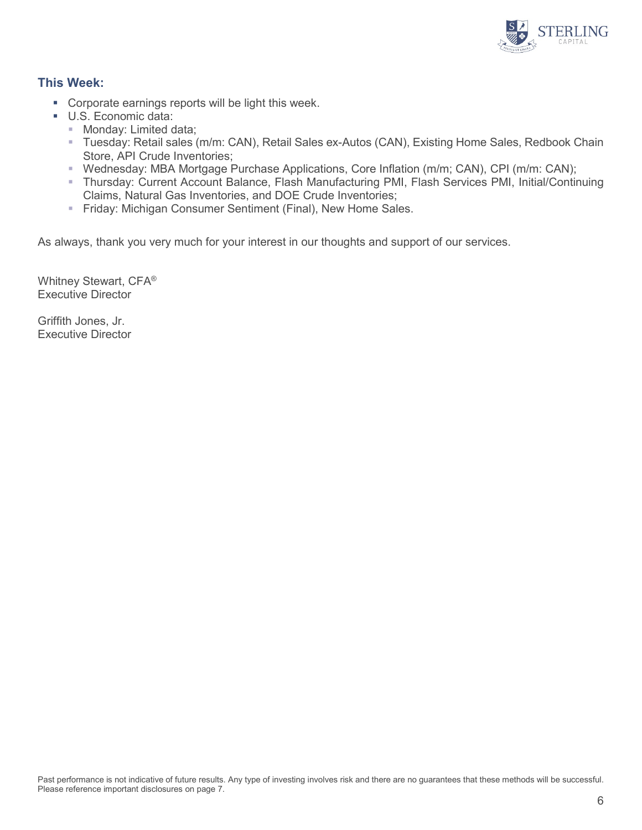

### **This Week:**

- **Corporate earnings reports will be light this week.**
- U.S. Economic data:
	- **Monday: Limited data;**
	- Tuesday: Retail sales (m/m: CAN), Retail Sales ex-Autos (CAN), Existing Home Sales, Redbook Chain Store, API Crude Inventories;
	- Wednesday: MBA Mortgage Purchase Applications, Core Inflation (m/m; CAN), CPI (m/m: CAN);
	- Thursday: Current Account Balance, Flash Manufacturing PMI, Flash Services PMI, Initial/Continuing Claims, Natural Gas Inventories, and DOE Crude Inventories;
	- Friday: Michigan Consumer Sentiment (Final), New Home Sales.

As always, thank you very much for your interest in our thoughts and support of our services.

Whitney Stewart, CFA® Executive Director

Griffith Jones, Jr. Executive Director